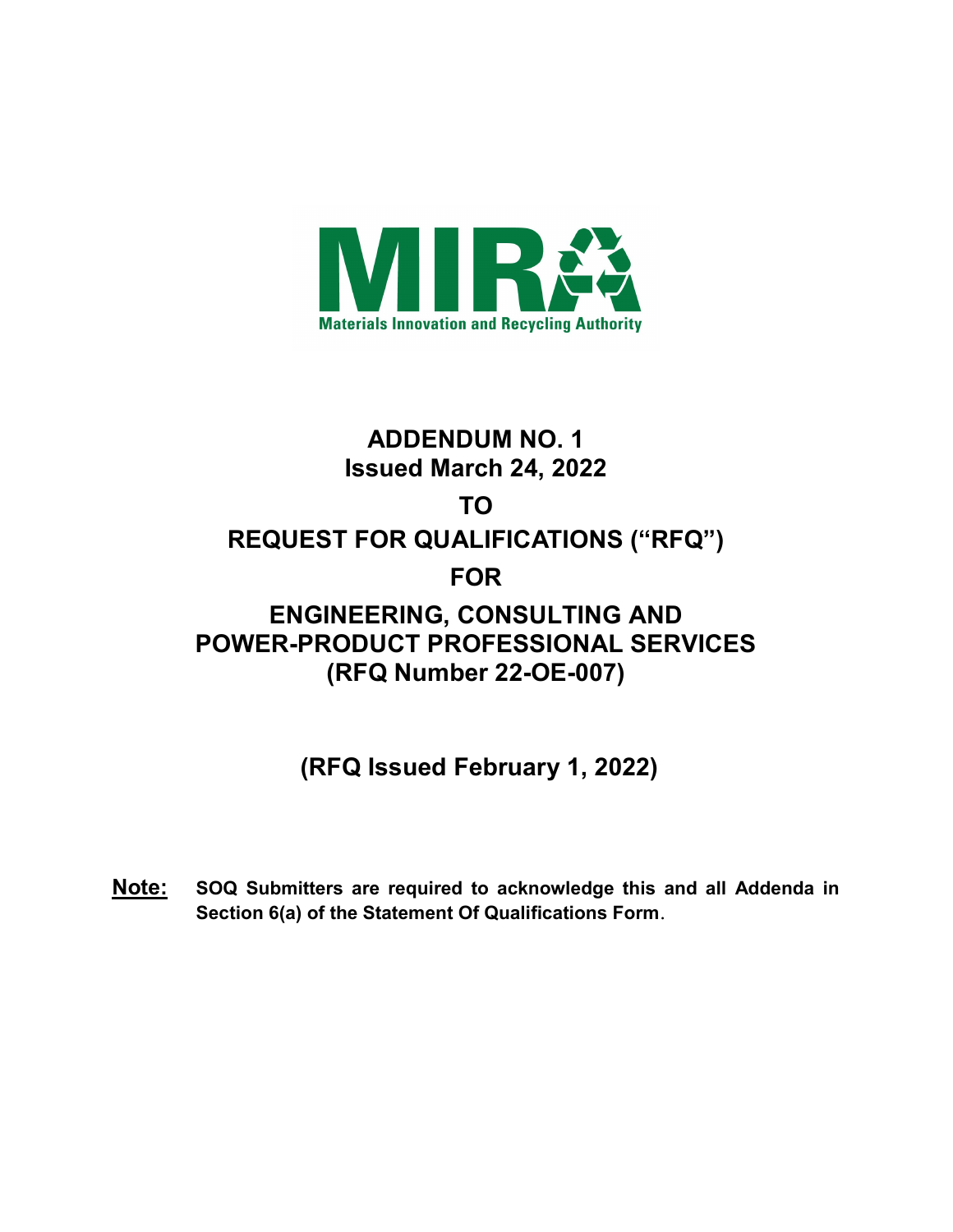

## ADDENDUM NO. 1 Issued March 24, 2022 TO REQUEST FOR QUALIFICATIONS ("RFQ") FOR ENGINEERING, CONSULTING AND POWER-PRODUCT PROFESSIONAL SERVICES (RFQ Number 22-OE-007)

(RFQ Issued February 1, 2022)

Note: SOQ Submitters are required to acknowledge this and all Addenda in Section 6(a) of the Statement Of Qualifications Form.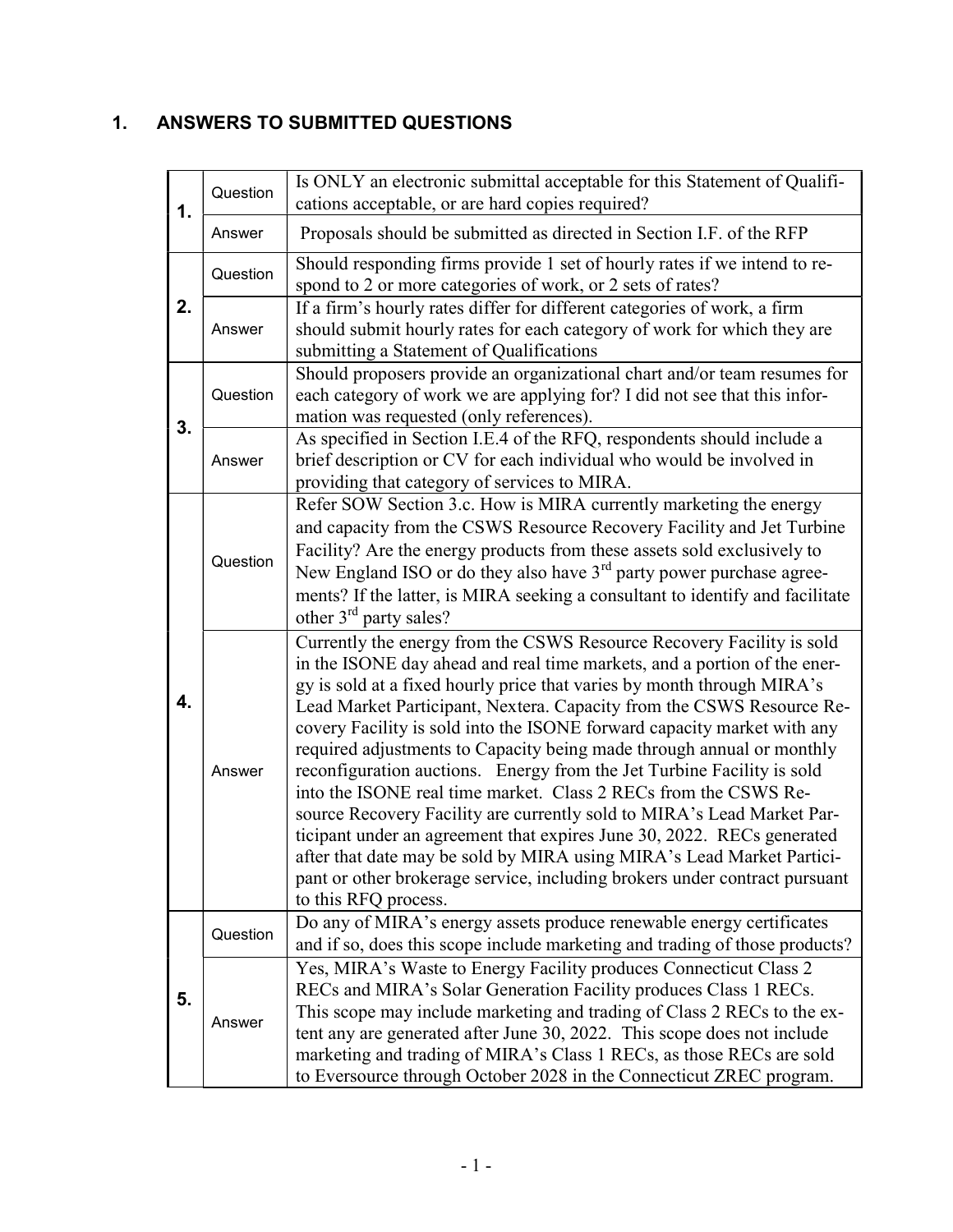## 1. ANSWERS TO SUBMITTED QUESTIONS

| 1. | Question | Is ONLY an electronic submittal acceptable for this Statement of Qualifi-<br>cations acceptable, or are hard copies required?                                                                                                                                                                                                                                                                                                                                                                                                                                                                                                                                                                                                                                                                                                                                                                                                            |
|----|----------|------------------------------------------------------------------------------------------------------------------------------------------------------------------------------------------------------------------------------------------------------------------------------------------------------------------------------------------------------------------------------------------------------------------------------------------------------------------------------------------------------------------------------------------------------------------------------------------------------------------------------------------------------------------------------------------------------------------------------------------------------------------------------------------------------------------------------------------------------------------------------------------------------------------------------------------|
|    | Answer   | Proposals should be submitted as directed in Section I.F. of the RFP                                                                                                                                                                                                                                                                                                                                                                                                                                                                                                                                                                                                                                                                                                                                                                                                                                                                     |
| 2. | Question | Should responding firms provide 1 set of hourly rates if we intend to re-<br>spond to 2 or more categories of work, or 2 sets of rates?                                                                                                                                                                                                                                                                                                                                                                                                                                                                                                                                                                                                                                                                                                                                                                                                  |
|    | Answer   | If a firm's hourly rates differ for different categories of work, a firm<br>should submit hourly rates for each category of work for which they are<br>submitting a Statement of Qualifications                                                                                                                                                                                                                                                                                                                                                                                                                                                                                                                                                                                                                                                                                                                                          |
| 3. | Question | Should proposers provide an organizational chart and/or team resumes for<br>each category of work we are applying for? I did not see that this infor-<br>mation was requested (only references).                                                                                                                                                                                                                                                                                                                                                                                                                                                                                                                                                                                                                                                                                                                                         |
|    | Answer   | As specified in Section I.E.4 of the RFQ, respondents should include a<br>brief description or CV for each individual who would be involved in<br>providing that category of services to MIRA.                                                                                                                                                                                                                                                                                                                                                                                                                                                                                                                                                                                                                                                                                                                                           |
| 4. | Question | Refer SOW Section 3.c. How is MIRA currently marketing the energy<br>and capacity from the CSWS Resource Recovery Facility and Jet Turbine<br>Facility? Are the energy products from these assets sold exclusively to<br>New England ISO or do they also have $3rd$ party power purchase agree-<br>ments? If the latter, is MIRA seeking a consultant to identify and facilitate<br>other $3rd$ party sales?                                                                                                                                                                                                                                                                                                                                                                                                                                                                                                                             |
|    | Answer   | Currently the energy from the CSWS Resource Recovery Facility is sold<br>in the ISONE day ahead and real time markets, and a portion of the ener-<br>gy is sold at a fixed hourly price that varies by month through MIRA's<br>Lead Market Participant, Nextera. Capacity from the CSWS Resource Re-<br>covery Facility is sold into the ISONE forward capacity market with any<br>required adjustments to Capacity being made through annual or monthly<br>reconfiguration auctions. Energy from the Jet Turbine Facility is sold<br>into the ISONE real time market. Class 2 RECs from the CSWS Re-<br>source Recovery Facility are currently sold to MIRA's Lead Market Par-<br>ticipant under an agreement that expires June 30, 2022. RECs generated<br>after that date may be sold by MIRA using MIRA's Lead Market Partici-<br>pant or other brokerage service, including brokers under contract pursuant<br>to this RFQ process. |
| 5. | Question | Do any of MIRA's energy assets produce renewable energy certificates<br>and if so, does this scope include marketing and trading of those products?                                                                                                                                                                                                                                                                                                                                                                                                                                                                                                                                                                                                                                                                                                                                                                                      |
|    | Answer   | Yes, MIRA's Waste to Energy Facility produces Connecticut Class 2<br>RECs and MIRA's Solar Generation Facility produces Class 1 RECs.<br>This scope may include marketing and trading of Class 2 RECs to the ex-<br>tent any are generated after June 30, 2022. This scope does not include<br>marketing and trading of MIRA's Class 1 RECs, as those RECs are sold<br>to Eversource through October 2028 in the Connecticut ZREC program.                                                                                                                                                                                                                                                                                                                                                                                                                                                                                               |